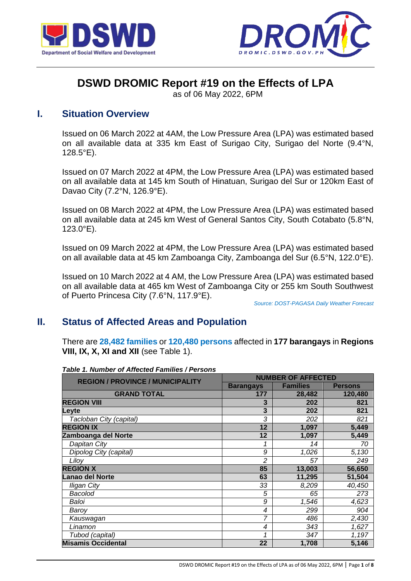



# **DSWD DROMIC Report #19 on the Effects of LPA**

as of 06 May 2022, 6PM

# **I. Situation Overview**

Issued on 06 March 2022 at 4AM, the Low Pressure Area (LPA) was estimated based on all available data at 335 km East of Surigao City, Surigao del Norte (9.4°N, 128.5°E).

Issued on 07 March 2022 at 4PM, the Low Pressure Area (LPA) was estimated based on all available data at 145 km South of Hinatuan, Surigao del Sur or 120km East of Davao City (7.2°N, 126.9°E).

Issued on 08 March 2022 at 4PM, the Low Pressure Area (LPA) was estimated based on all available data at 245 km West of General Santos City, South Cotabato (5.8°N, 123.0°E).

Issued on 09 March 2022 at 4PM, the Low Pressure Area (LPA) was estimated based on all available data at 45 km Zamboanga City, Zamboanga del Sur (6.5°N, 122.0°E).

Issued on 10 March 2022 at 4 AM, the Low Pressure Area (LPA) was estimated based on all available data at 465 km West of Zamboanga City or 255 km South Southwest of Puerto Princesa City (7.6°N, 117.9°E).

*Source: DOST-PAGASA Daily Weather Forecast*

# **II. Status of Affected Areas and Population**

There are **28,482 families** or **120,480 persons** affected in **177 barangays** in **Regions VIII, IX, X, XI and XII** (see Table 1).

| <b>REGION / PROVINCE / MUNICIPALITY</b> | <b>NUMBER OF AFFECTED</b> |                 |                |  |
|-----------------------------------------|---------------------------|-----------------|----------------|--|
|                                         | <b>Barangays</b>          | <b>Families</b> | <b>Persons</b> |  |
| <b>GRAND TOTAL</b>                      | 177                       | 28,482          | 120,480        |  |
| <b>REGION VIII</b>                      | 3                         | 202             | 821            |  |
| Leyte                                   | 3                         | 202             | 821            |  |
| Tacloban City (capital)                 | 3                         | 202             | 821            |  |
| <b>REGION IX</b>                        | 12                        | 1,097           | 5,449          |  |
| Zamboanga del Norte                     | 12                        | 1,097           | 5,449          |  |
| Dapitan City                            | 1                         | 14              | 70             |  |
| Dipolog City (capital)                  | 9                         | 1,026           | 5,130          |  |
| Liloy                                   | $\overline{c}$            | 57              | 249            |  |
| <b>REGION X</b>                         | 85                        | 13,003          | 56,650         |  |
| Lanao del Norte                         | 63                        | 11,295          | 51,504         |  |
| <b>Iligan City</b>                      | 33                        | 8,209           | 40,450         |  |
| <b>Bacolod</b>                          | 5                         | 65              | 273            |  |
| Baloi                                   | 9                         | 1,546           | 4,623          |  |
| Barov                                   | 4                         | 299             | 904            |  |
| Kauswagan                               | 7                         | 486             | 2,430          |  |
| Linamon                                 | 4                         | 343             | 1,627          |  |
| Tubod (capital)                         | 1                         | 347             | 1,197          |  |
| <b>Misamis Occidental</b>               | 22                        | 1,708           | 5,146          |  |

#### *Table 1. Number of Affected Families / Persons*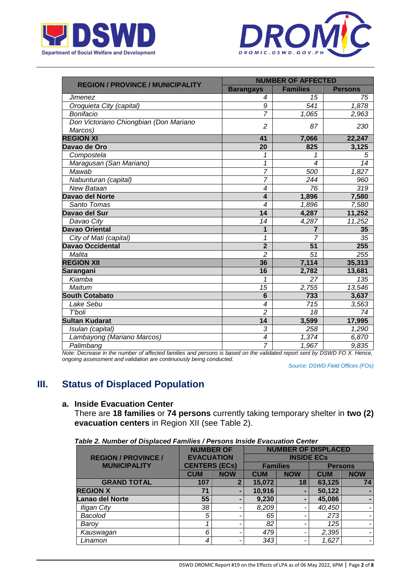



|                                         | <b>NUMBER OF AFFECTED</b> |                          |                |  |  |
|-----------------------------------------|---------------------------|--------------------------|----------------|--|--|
| <b>REGION / PROVINCE / MUNICIPALITY</b> | <b>Barangays</b>          | <b>Families</b>          | <b>Persons</b> |  |  |
| <b>Jimenez</b>                          | 4                         | 15                       | 75             |  |  |
| Oroquieta City (capital)                | 9                         | 541                      | 1,878          |  |  |
| Bonifacio                               | $\overline{7}$            | 1,065                    | 2,963          |  |  |
| Don Victoriano Chiongbian (Don Mariano  | $\overline{c}$            | 87                       | 230            |  |  |
| Marcos)                                 |                           |                          |                |  |  |
| <b>REGION XI</b>                        | 41                        | 7,066                    | 22,247         |  |  |
| Davao de Oro                            | 20                        | 825                      | 3,125          |  |  |
| Compostela                              | 1                         | 1                        | 5              |  |  |
| Maragusan (San Mariano)                 | $\mathbf{1}$              | $\overline{\mathcal{A}}$ | 14             |  |  |
| Mawab                                   | $\overline{7}$            | 500                      | 1,827          |  |  |
| Nabunturan (capital)                    | 7                         | 244                      | 960            |  |  |
| <b>New Bataan</b>                       | $\overline{4}$            | 76                       | 319            |  |  |
| <b>Davao del Norte</b>                  | $\boldsymbol{4}$          | 1,896                    | 7,580          |  |  |
| Santo Tomas                             | $\overline{\mathcal{A}}$  | 1,896                    | 7,580          |  |  |
| Davao del Sur                           | 14                        | 4,287                    | 11,252         |  |  |
| Davao City                              | 14                        | 4,287                    | 11,252         |  |  |
| <b>Davao Oriental</b>                   | 1                         | 7                        | 35             |  |  |
| City of Mati (capital)                  | 1                         | $\overline{7}$           | 35             |  |  |
| <b>Davao Occidental</b>                 | $\overline{2}$            | 51                       | 255            |  |  |
| Malita                                  | $\overline{c}$            | 51                       | 255            |  |  |
| <b>REGION XII</b>                       | 36                        | 7,114                    | 35,313         |  |  |
| <b>Sarangani</b>                        | 16                        | 2,782                    | 13,681         |  |  |
| Kiamba                                  | 1                         | 27                       | 135            |  |  |
| Maitum                                  | 15                        | 2,755                    | 13,546         |  |  |
| <b>South Cotabato</b>                   | $6\phantom{1}6$           | 733                      | 3,637          |  |  |
| Lake Sebu                               | $\overline{\mathcal{A}}$  | 715                      | 3,563          |  |  |
| T'boli                                  | $\overline{2}$            | 18                       | 74             |  |  |
| <b>Sultan Kudarat</b>                   | 14                        | 3,599                    | 17,995         |  |  |
| Isulan (capital)                        | 3                         | 258                      | 1,290          |  |  |
| Lambayong (Mariano Marcos)              | 4                         | 1,374                    | 6,870          |  |  |
| Palimbang                               | $\overline{7}$            | 1,967                    | 9,835          |  |  |

*Note: Decrease in the number of affected families and persons is based on the validated report sent by DSWD FO X. Hence, ongoing assessment and validation are continuously being conducted.*

*Source: DSWD Field Offices (FOs)*

# **III. Status of Displaced Population**

## **a. Inside Evacuation Center**

There are **18 families** or **74 persons** currently taking temporary shelter in **two (2) evacuation centers** in Region XII (see Table 2).

|                            | <b>NUMBER OF</b>     |                | <b>NUMBER OF DISPLACED</b> |                   |                |                |
|----------------------------|----------------------|----------------|----------------------------|-------------------|----------------|----------------|
| <b>REGION / PROVINCE /</b> | <b>EVACUATION</b>    |                |                            | <b>INSIDE ECS</b> |                |                |
| <b>MUNICIPALITY</b>        | <b>CENTERS (ECs)</b> |                | <b>Families</b>            |                   | <b>Persons</b> |                |
|                            | <b>CUM</b>           | <b>NOW</b>     | <b>CUM</b>                 | <b>NOW</b>        | <b>CUM</b>     | <b>NOW</b>     |
| <b>GRAND TOTAL</b>         | 107                  | $\overline{2}$ | 15,072                     | 18                | 63,125         | 74             |
| <b>REGION X</b>            | 71                   |                | 10,916                     | -                 | 50,122         | $\blacksquare$ |
| <b>Lanao del Norte</b>     | 55                   |                | 9,230                      | ۰                 | 45,086         | $\blacksquare$ |
| <b>Iligan City</b>         | 38                   |                | 8,209                      |                   | 40,450         | ۰              |
| <b>Bacolod</b>             | 5                    |                | 65                         |                   | 273            |                |
| Baroy                      |                      |                | 82                         |                   | 125            |                |
| Kauswagan                  | 6                    |                | 479                        |                   | 2,395          | ۰.             |
| Linamon                    |                      |                | 343                        |                   | 1,627          | ۰              |

*Table 2. Number of Displaced Families / Persons Inside Evacuation Center*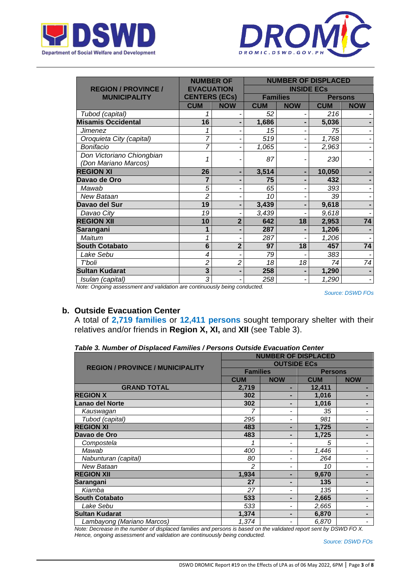



|                                                                                            | <b>NUMBER OF</b>     |                |                 | <b>NUMBER OF DISPLACED</b> |                |                 |
|--------------------------------------------------------------------------------------------|----------------------|----------------|-----------------|----------------------------|----------------|-----------------|
| <b>REGION / PROVINCE /</b>                                                                 | <b>EVACUATION</b>    |                |                 | <b>INSIDE ECs</b>          |                |                 |
| <b>MUNICIPALITY</b>                                                                        | <b>CENTERS (ECs)</b> |                | <b>Families</b> |                            | <b>Persons</b> |                 |
|                                                                                            | <b>CUM</b>           | <b>NOW</b>     | <b>CUM</b>      | <b>NOW</b>                 | <b>CUM</b>     | <b>NOW</b>      |
| Tubod (capital)                                                                            |                      |                | 52              |                            | 216            |                 |
| <b>Misamis Occidental</b>                                                                  | 16                   |                | 1,686           |                            | 5,036          |                 |
| Jimenez                                                                                    |                      |                | 15              |                            | 75             |                 |
| Oroquieta City (capital)                                                                   |                      |                | 519             |                            | 1,768          |                 |
| Bonifacio                                                                                  | 7                    |                | 1,065           |                            | 2,963          |                 |
| Don Victoriano Chiongbian<br>(Don Mariano Marcos)                                          |                      |                | 87              |                            | 230            |                 |
| <b>REGION XI</b>                                                                           | 26                   | ۰              | 3,514           |                            | 10,050         |                 |
| Davao de Oro                                                                               |                      |                | 75              |                            | 432            |                 |
| Mawab                                                                                      | 5                    |                | 65              |                            | 393            |                 |
| New Bataan                                                                                 | 2                    |                | 10              |                            | 39             |                 |
| Davao del Sur                                                                              | 19                   | -              | 3,439           |                            | 9,618          |                 |
| Davao City                                                                                 | 19                   |                | 3,439           |                            | 9,618          |                 |
| <b>REGION XII</b>                                                                          | 10                   | $\overline{2}$ | 642             | 18                         | 2,953          | $\overline{74}$ |
| Sarangani                                                                                  |                      |                | 287             |                            | 1,206          |                 |
| Maitum                                                                                     |                      |                | 287             |                            | 1,206          |                 |
| <b>South Cotabato</b>                                                                      | $6\phantom{1}6$      | $\overline{2}$ | 97              | 18                         | 457            | 74              |
| Lake Sebu                                                                                  | 4                    |                | 79              |                            | 383            |                 |
| T'boli                                                                                     | 2                    | $\overline{c}$ | 18              | 18                         | 74             | 74              |
| <b>Sultan Kudarat</b>                                                                      | 3                    |                | 258             |                            | 1,290          |                 |
| Isulan (capital)<br>annat san Luchtstein san seo daoine an beiseann an<br>$M = 1 - \Omega$ | 3                    |                | 258<br>$\Delta$ |                            | 1,290          |                 |

 *Note: Ongoing assessment and validation are continuously being conducted.*

*Source: DSWD FOs*

#### **b. Outside Evacuation Center**

A total of **2,719 families** or **12,411 persons** sought temporary shelter with their relatives and/or friends in **Region X, XI,** and **XII** (see Table 3).

*Table 3. Number of Displaced Families / Persons Outside Evacuation Center*

|                                         | <b>NUMBER OF DISPLACED</b> |                          |                |            |  |  |
|-----------------------------------------|----------------------------|--------------------------|----------------|------------|--|--|
| <b>REGION / PROVINCE / MUNICIPALITY</b> | <b>OUTSIDE ECS</b>         |                          |                |            |  |  |
|                                         | <b>Families</b>            |                          | <b>Persons</b> |            |  |  |
|                                         | <b>CUM</b>                 | <b>NOW</b>               | <b>CUM</b>     | <b>NOW</b> |  |  |
| <b>GRAND TOTAL</b>                      | 2,719                      |                          | 12,411         |            |  |  |
| <b>REGION X</b>                         | 302                        | ۰                        | 1,016          |            |  |  |
| <b>Lanao del Norte</b>                  | 302                        | ۰                        | 1,016          |            |  |  |
| Kauswagan                               |                            | $\overline{\phantom{a}}$ | 35             | -          |  |  |
| Tubod (capital)                         | 295                        | $\blacksquare$           | 981            |            |  |  |
| <b>REGION XI</b>                        | 483                        |                          | 1,725          |            |  |  |
| Davao de Oro                            | 483                        | ۰                        | 1,725          | -          |  |  |
| Compostela                              |                            | $\overline{\phantom{a}}$ | 5              |            |  |  |
| Mawab                                   | 400                        | $\overline{\phantom{a}}$ | 1,446          |            |  |  |
| Nabunturan (capital)                    | 80                         | $\overline{\phantom{a}}$ | 264            |            |  |  |
| New Bataan                              | 2                          | $\blacksquare$           | 10             |            |  |  |
| <b>REGION XII</b>                       | 1,934                      | ٠                        | 9,670          |            |  |  |
| Sarangani                               | 27                         | ۰                        | 135            |            |  |  |
| Kiamba                                  | 27                         | $\overline{\phantom{a}}$ | 135            |            |  |  |
| <b>South Cotabato</b>                   | 533                        | ۰                        | 2,665          |            |  |  |
| Lake Sebu                               | 533                        | $\overline{\phantom{a}}$ | 2,665          |            |  |  |
| <b>Sultan Kudarat</b>                   | 1,374                      | ۰                        | 6,870          |            |  |  |
| Lambayong (Mariano Marcos)              | 1,374                      | $\overline{\phantom{a}}$ | 6,870          |            |  |  |

*Note: Decrease in the number of displaced families and persons is based on the validated report sent by DSWD FO X. Hence, ongoing assessment and validation are continuously being conducted.*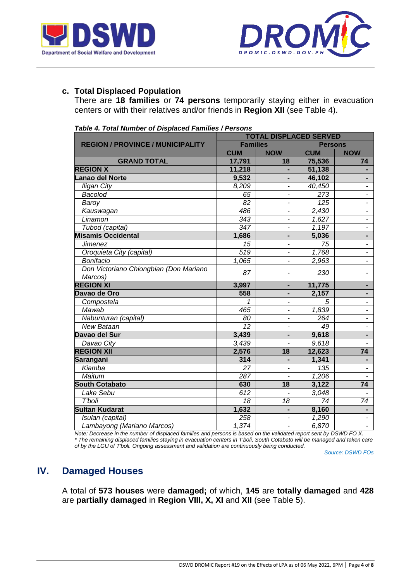



## **c. Total Displaced Population**

There are **18 families** or **74 persons** temporarily staying either in evacuation centers or with their relatives and/or friends in **Region XII** (see Table 4).

| rable +. Total Hamber or Displaced Families / Fersons | <b>TOTAL DISPLACED SERVED</b> |                          |                 |                          |  |  |
|-------------------------------------------------------|-------------------------------|--------------------------|-----------------|--------------------------|--|--|
| <b>REGION / PROVINCE / MUNICIPALITY</b>               | <b>Families</b>               |                          | <b>Persons</b>  |                          |  |  |
|                                                       | <b>CUM</b>                    | <b>NOW</b>               | <b>CUM</b>      | <b>NOW</b>               |  |  |
| <b>GRAND TOTAL</b>                                    | 17,791                        | 18                       | 75,536          | 74                       |  |  |
| <b>REGION X</b>                                       | 11,218                        |                          | 51,138          |                          |  |  |
| Lanao del Norte                                       | 9,532                         |                          | 46,102          |                          |  |  |
| <b>Iligan City</b>                                    | 8,209                         |                          | 40,450          | $\blacksquare$           |  |  |
| Bacolod                                               | 65                            |                          | 273             |                          |  |  |
| Baroy                                                 | 82                            | -                        | 125             | $\overline{\phantom{0}}$ |  |  |
| Kauswagan                                             | 486                           | -                        | 2,430           | $\overline{\phantom{0}}$ |  |  |
| Linamon                                               | 343                           | -                        | 1,627           | ÷,                       |  |  |
| Tubod (capital)                                       | 347                           | -                        | 1,197           | $\frac{1}{2}$            |  |  |
| <b>Misamis Occidental</b>                             | 1,686                         | ۰                        | 5,036           | ۰                        |  |  |
| <b>Jimenez</b>                                        | 15                            | -                        | 75              | $\overline{\phantom{a}}$ |  |  |
| Oroquieta City (capital)                              | 519                           | ٠                        | 1,768           | $\overline{\phantom{a}}$ |  |  |
| Bonifacio                                             | 1,065                         | $\overline{a}$           | 2,963           | $\overline{\phantom{0}}$ |  |  |
| Don Victoriano Chiongbian (Don Mariano<br>Marcos)     | 87                            | ٠                        | 230             | $\overline{\phantom{0}}$ |  |  |
| <b>REGION XI</b>                                      | 3,997                         |                          | 11,775          |                          |  |  |
| Davao de Oro                                          | 558                           | ÷                        | 2,157           |                          |  |  |
| Compostela                                            | 1                             |                          | 5               |                          |  |  |
| Mawab                                                 | 465                           |                          | 1,839           |                          |  |  |
| Nabunturan (capital)                                  | 80                            |                          | 264             |                          |  |  |
| <b>New Bataan</b>                                     | $\overline{12}$               |                          | 49              | $\overline{\phantom{0}}$ |  |  |
| Davao del Sur                                         | 3,439                         |                          | 9,618           |                          |  |  |
| Davao City                                            | 3,439                         |                          | 9,618           |                          |  |  |
| <b>REGION XII</b>                                     | 2,576                         | 18                       | 12,623          | $\overline{74}$          |  |  |
| Sarangani                                             | 314                           |                          | 1,341           |                          |  |  |
| Kiamba                                                | 27                            |                          | 135             | $\overline{\phantom{0}}$ |  |  |
| Maitum                                                | 287                           |                          | 1,206           |                          |  |  |
| <b>South Cotabato</b>                                 | 630                           | 18                       | 3,122           | $\overline{74}$          |  |  |
| Lake Sebu                                             | 612                           |                          | 3,048           |                          |  |  |
| T'boli                                                | 18                            | 18                       | $\overline{74}$ | 74                       |  |  |
| <b>Sultan Kudarat</b>                                 | 1,632                         | $\overline{a}$           | 8,160           | $\blacksquare$           |  |  |
| Isulan (capital)                                      | 258                           | ٠                        | 1,290           | $\overline{\phantom{a}}$ |  |  |
| Lambayong (Mariano Marcos)                            | 1,374                         | $\overline{\phantom{0}}$ | 6,870           | $\overline{\phantom{0}}$ |  |  |

*Table 4. Total Number of Displaced Families / Persons*

*Note: Decrease in the number of displaced families and persons is based on the validated report sent by DSWD FO X. \* The remaining displaced families staying in evacuation centers in T'boli, South Cotabato will be managed and taken care of by the LGU of T'boli. Ongoing assessment and validation are continuously being conducted.*

*Source: DSWD FOs*

# **IV. Damaged Houses**

A total of **573 houses** were **damaged;** of which, **145** are **totally damaged** and **428** are **partially damaged** in **Region VIII, X, XI** and **XII** (see Table 5).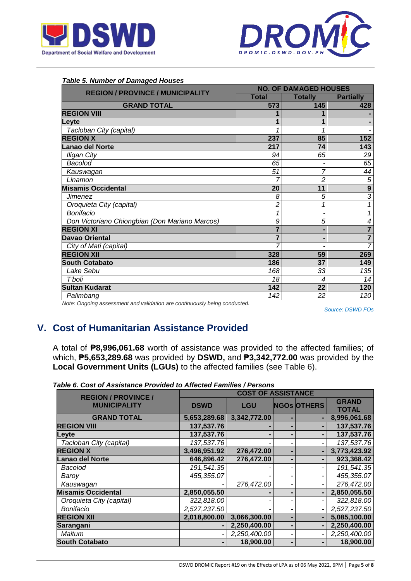



| Table 5. Number of Damaged Houses              |                |                              |                          |
|------------------------------------------------|----------------|------------------------------|--------------------------|
| <b>REGION / PROVINCE / MUNICIPALITY</b>        |                | <b>NO. OF DAMAGED HOUSES</b> |                          |
|                                                | <b>Total</b>   | <b>Totally</b>               | <b>Partially</b>         |
| <b>GRAND TOTAL</b>                             | 573            | 145                          | 428                      |
| <b>REGION VIII</b>                             |                |                              |                          |
| Levte                                          |                |                              |                          |
| Tacloban City (capital)                        |                |                              |                          |
| <b>REGION X</b>                                | 237            | 85                           | 152                      |
| anao del Norte                                 | 217            | 74                           | 143                      |
| <b>Iligan City</b>                             | 94             | 65                           | 29                       |
| <b>Bacolod</b>                                 | 65             |                              | 65                       |
| Kauswagan                                      | 51             | 7                            | 44                       |
| Linamon                                        | 7              | 2                            | $\sqrt{5}$               |
| <b>Misamis Occidental</b>                      | 20             | 11                           | $\overline{9}$           |
| Jimenez                                        | 8              | 5                            | $\overline{3}$           |
| Oroquieta City (capital)                       | 2              |                              | 1                        |
| Bonifacio                                      | 1              |                              | 1                        |
| Don Victoriano Chiongbian (Don Mariano Marcos) | 9              | 5                            | $\overline{\mathcal{A}}$ |
| <b>REGION XI</b>                               | $\overline{7}$ |                              | $\overline{7}$           |
| <b>Davao Oriental</b>                          |                |                              | $\overline{7}$           |
| City of Mati (capital)                         |                |                              | $\overline{7}$           |
| <b>REGION XII</b>                              | 328            | 59                           | 269                      |
| <b>South Cotabato</b>                          | 186            | 37                           | 149                      |
| Lake Sebu                                      | 168            | 33                           | 135                      |
| T'boli                                         | 18             | 4                            | 14                       |
| <b>Sultan Kudarat</b>                          | 142            | 22                           | 120                      |
| Palimbang                                      | 142            | 22                           | 120                      |
|                                                |                |                              |                          |

#### *Table 5. Number of Damaged Houses*

*Note: Ongoing assessment and validation are continuously being conducted.*

*Source: DSWD FOs*

# **V. Cost of Humanitarian Assistance Provided**

A total of **₱8,996,061.68** worth of assistance was provided to the affected families; of which, **₱5,653,289.68** was provided by **DSWD,** and **₱3,342,772.00** was provided by the **Local Government Units (LGUs)** to the affected families (see Table 6).

|                                                   |              | <b>COST OF ASSISTANCE</b> |                    |              |
|---------------------------------------------------|--------------|---------------------------|--------------------|--------------|
| <b>REGION / PROVINCE /</b><br><b>MUNICIPALITY</b> | <b>DSWD</b>  | <b>LGU</b>                | <b>NGOs OTHERS</b> | <b>GRAND</b> |
|                                                   |              |                           |                    | <b>TOTAL</b> |
| <b>GRAND TOTAL</b>                                | 5,653,289.68 | 3,342,772.00              |                    | 8,996,061.68 |
| <b>REGION VIII</b>                                | 137,537.76   |                           |                    | 137,537.76   |
| Leyte                                             | 137,537.76   |                           |                    | 137,537.76   |
| Tacloban City (capital)                           | 137,537.76   |                           |                    | 137,537.76   |
| <b>REGION X</b>                                   | 3,496,951.92 | 276,472.00                |                    | 3,773,423.92 |
| Lanao del Norte                                   | 646,896.42   | 276,472.00                |                    | 923,368.42   |
| Bacolod                                           | 191,541.35   |                           |                    | 191,541.35   |
| Baroy                                             | 455,355.07   |                           |                    | 455,355.07   |
| Kauswagan                                         |              | 276,472.00                |                    | 276,472.00   |
| <b>Misamis Occidental</b>                         | 2,850,055.50 |                           |                    | 2,850,055.50 |
| Oroquieta City (capital)                          | 322,818.00   |                           |                    | 322,818.00   |
| Bonifacio                                         | 2,527,237.50 |                           |                    | 2,527,237.50 |
| <b>REGION XII</b>                                 | 2,018,800.00 | 3,066,300.00              |                    | 5,085,100.00 |
| Sarangani                                         |              | 2,250,400.00              |                    | 2,250,400.00 |
| Maitum                                            |              | 2,250,400.00              |                    | 2,250,400.00 |
| <b>South Cotabato</b>                             |              | 18,900.00                 |                    | 18,900.00    |

| Table 6. Cost of Assistance Provided to Affected Families / Persons |  |
|---------------------------------------------------------------------|--|
|---------------------------------------------------------------------|--|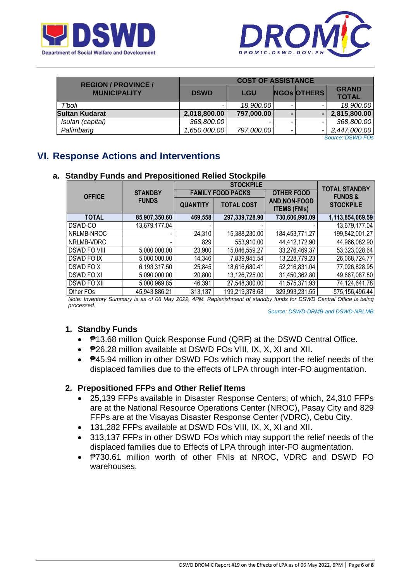



| <b>REGION / PROVINCE /</b> | <b>COST OF ASSISTANCE</b> |            |  |                    |              |  |
|----------------------------|---------------------------|------------|--|--------------------|--------------|--|
| <b>MUNICIPALITY</b>        | <b>DSWD</b>               | <b>LGU</b> |  | <b>NGOS OTHERS</b> | <b>GRAND</b> |  |
|                            |                           |            |  |                    | <b>TOTAL</b> |  |
| T'boli                     |                           | 18,900.00  |  |                    | 18,900.00    |  |
| <b>Sultan Kudarat</b>      | 2,018,800.00              | 797,000.00 |  |                    | 2,815,800.00 |  |
| Isulan (capital)           | 368,800.00                | -          |  |                    | 368,800.00   |  |
| Palimbang                  | 1,650,000.00              | 797,000.00 |  |                    | 2,447,000.00 |  |

*Source: DSWD FOs*

# **VI. Response Actions and Interventions**

### **a. Standby Funds and Prepositioned Relied Stockpile**

|                     |                | <b>STOCKPILE</b> |                          |                                            | <b>TOTAL STANDBY</b> |
|---------------------|----------------|------------------|--------------------------|--------------------------------------------|----------------------|
| <b>OFFICE</b>       | <b>STANDBY</b> |                  | <b>FAMILY FOOD PACKS</b> | <b>OTHER FOOD</b>                          | <b>FUNDS &amp;</b>   |
|                     | <b>FUNDS</b>   | <b>QUANTITY</b>  | <b>TOTAL COST</b>        | <b>AND NON-FOOD</b><br><b>ITEMS (FNIs)</b> | <b>STOCKPILE</b>     |
| <b>TOTAL</b>        | 85,907,350.60  | 469,558          | 297,339,728.90           | 730,606,990.09                             | 1,113,854,069.59     |
| DSWD-CO             | 13,679,177.04  |                  |                          |                                            | 13,679,177.04        |
| NRLMB-NROC          |                | 24,310           | 15,388,230.00            | 184,453,771.27                             | 199,842,001.27       |
| NRLMB-VDRC          |                | 829              | 553,910.00               | 44,412,172.90                              | 44,966,082.90        |
| <b>DSWD FO VIII</b> | 5,000,000.00   | 23,900           | 15,046,559.27            | 33,276,469.37                              | 53,323,028.64        |
| DSWD FO IX          | 5,000,000.00   | 14,346           | 7,839,945.54             | 13,228,779.23                              | 26,068,724.77        |
| DSWD FO X           | 6,193,317.50   | 25,845           | 18,616,680.41            | 52,216,831.04                              | 77,026,828.95        |
| <b>DSWD FO XI</b>   | 5,090,000.00   | 20,800           | 13,126,725.00            | 31,450,362.80                              | 49,667,087.80        |
| DSWD FO XII         | 5,000,969.85   | 46,391           | 27,548,300.00            | 41,575,371.93                              | 74,124,641.78        |
| Other FOs           | 45,943,886.21  | 313,137          | 199,219,378.68           | 329,993,231.55                             | 575,156,496.44       |

*Note: Inventory Summary is as of 06 May 2022, 4PM. Replenishment of standby funds for DSWD Central Office is being processed.*

*Source: DSWD-DRMB and DSWD-NRLMB*

### **1. Standby Funds**

- ₱13.68 million Quick Response Fund (QRF) at the DSWD Central Office.
- P26.28 million available at DSWD FOs VIII, IX, X, XI and XII.
- P45.94 million in other DSWD FOs which may support the relief needs of the displaced families due to the effects of LPA through inter-FO augmentation.

### **2. Prepositioned FFPs and Other Relief Items**

- 25,139 FFPs available in Disaster Response Centers; of which, 24,310 FFPs are at the National Resource Operations Center (NROC), Pasay City and 829 FFPs are at the Visayas Disaster Response Center (VDRC), Cebu City.
- 131,282 FFPs available at DSWD FOs VIII, IX, X, XI and XII.
- 313,137 FFPs in other DSWD FOs which may support the relief needs of the displaced families due to Effects of LPA through inter-FO augmentation.
- **P730.61 million worth of other FNIs at NROC, VDRC and DSWD FO** warehouses.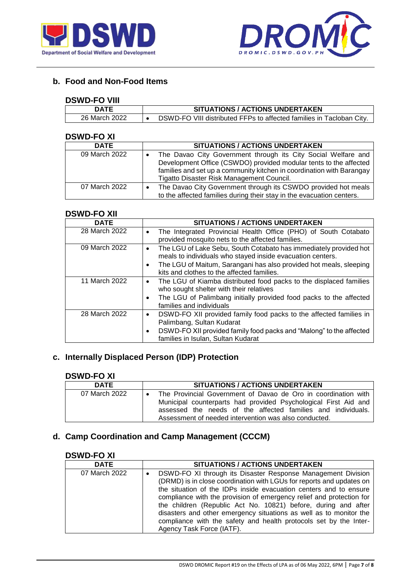



## **b. Food and Non-Food Items**

#### **DSWD-FO VIII**

| --------      |                                                                      |
|---------------|----------------------------------------------------------------------|
| DATE          | <b>SITUATIONS / ACTIONS UNDERTAKEN</b>                               |
| 26 March 2022 | DSWD-FO VIII distributed FFPs to affected families in Tacloban City. |

### **DSWD-FO XI**

| וא ט ו־שייטע  |                                                                                                                                                                                                                                                          |
|---------------|----------------------------------------------------------------------------------------------------------------------------------------------------------------------------------------------------------------------------------------------------------|
| <b>DATE</b>   | <b>SITUATIONS / ACTIONS UNDERTAKEN</b>                                                                                                                                                                                                                   |
| 09 March 2022 | The Davao City Government through its City Social Welfare and<br>Development Office (CSWDO) provided modular tents to the affected<br>families and set up a community kitchen in coordination with Barangay<br>Tigatto Disaster Risk Management Council. |
| 07 March 2022 | The Davao City Government through its CSWDO provided hot meals<br>to the affected families during their stay in the evacuation centers.                                                                                                                  |

#### **DSWD-FO XII**

| <b>DATE</b>   | <b>SITUATIONS / ACTIONS UNDERTAKEN</b>                                                                                                                                                                                                                           |
|---------------|------------------------------------------------------------------------------------------------------------------------------------------------------------------------------------------------------------------------------------------------------------------|
| 28 March 2022 | The Integrated Provincial Health Office (PHO) of South Cotabato<br>$\bullet$<br>provided mosquito nets to the affected families.                                                                                                                                 |
| 09 March 2022 | The LGU of Lake Sebu, South Cotabato has immediately provided hot<br>$\bullet$<br>meals to individuals who stayed inside evacuation centers.<br>The LGU of Maitum, Sarangani has also provided hot meals, sleeping<br>kits and clothes to the affected families. |
| 11 March 2022 | The LGU of Kiamba distributed food packs to the displaced families<br>who sought shelter with their relatives<br>The LGU of Palimbang initially provided food packs to the affected<br>families and individuals                                                  |
| 28 March 2022 | DSWD-FO XII provided family food packs to the affected families in<br>Palimbang, Sultan Kudarat<br>DSWD-FO XII provided family food packs and "Malong" to the affected<br>families in Isulan, Sultan Kudarat                                                     |

## **c. Internally Displaced Person (IDP) Protection**

## **DSWD-FO XI**

| ---------     |                                                                                                                                                                                                                                                            |
|---------------|------------------------------------------------------------------------------------------------------------------------------------------------------------------------------------------------------------------------------------------------------------|
| <b>DATE</b>   | <b>SITUATIONS / ACTIONS UNDERTAKEN</b>                                                                                                                                                                                                                     |
| 07 March 2022 | The Provincial Government of Davao de Oro in coordination with<br>Municipal counterparts had provided Psychological First Aid and<br>assessed the needs of the affected families and individuals.<br>Assessment of needed intervention was also conducted. |

# **d. Camp Coordination and Camp Management (CCCM)**

#### **DSWD-FO XI**

| <b>DATE</b>   | <b>SITUATIONS / ACTIONS UNDERTAKEN</b>                                                                                                                                                                                                                                                                                                                                                                                                                                                                                      |
|---------------|-----------------------------------------------------------------------------------------------------------------------------------------------------------------------------------------------------------------------------------------------------------------------------------------------------------------------------------------------------------------------------------------------------------------------------------------------------------------------------------------------------------------------------|
| 07 March 2022 | DSWD-FO XI through its Disaster Response Management Division<br>(DRMD) is in close coordination with LGUs for reports and updates on<br>the situation of the IDPs inside evacuation centers and to ensure<br>compliance with the provision of emergency relief and protection for<br>the children (Republic Act No. 10821) before, during and after<br>disasters and other emergency situations as well as to monitor the<br>compliance with the safety and health protocols set by the Inter-<br>Agency Task Force (IATF). |